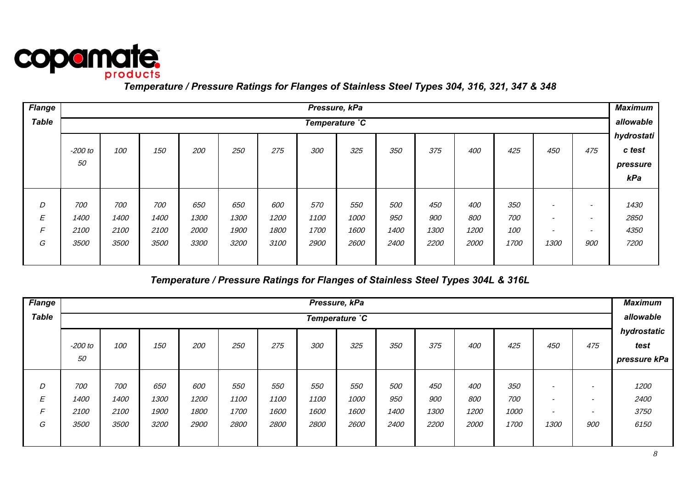

| <b>Flange</b> |         |                |      |      |      |      | Pressure, kPa |             |      |      |      |      |                          |            | <b>Maximum</b> |  |
|---------------|---------|----------------|------|------|------|------|---------------|-------------|------|------|------|------|--------------------------|------------|----------------|--|
| <b>Table</b>  |         | Temperature °C |      |      |      |      |               |             |      |      |      |      |                          |            |                |  |
|               |         |                |      |      |      |      |               |             |      |      |      |      |                          |            | hydrostati     |  |
|               | -200 to | 100            | 150  | 200  | 250  | 275  | 300           | 325         | 350  | 375  | 400  | 425  | 450                      | 475        | c test         |  |
|               | 50      |                |      |      |      |      |               |             |      |      |      |      |                          |            | pressure       |  |
|               |         |                |      |      |      |      |               |             |      |      |      |      |                          |            | kPa            |  |
|               |         |                |      |      |      |      |               |             |      |      |      |      |                          |            |                |  |
| D             | 700     | 700            | 700  | 650  | 650  | 600  | 570           | 550         | 500  | 450  | 400  | 350  | $\overline{\phantom{0}}$ |            | 1430           |  |
| E             | 1400    | 1400           | 1400 | 1300 | 1300 | 1200 | 1100          | 1000        | 950  | 900  | 800  | 700  | $\overline{\phantom{0}}$ |            | 2850           |  |
| F             | 2100    | 2100           | 2100 | 2000 | 1900 | 1800 | 1700          | 1600        | 1400 | 1300 | 1200 | 100  | $\overline{\phantom{0}}$ |            | 4350           |  |
| G             | 3500    | 3500           | 3500 | 3300 | 3200 | 3100 | 2900          | <i>2600</i> | 2400 | 2200 | 2000 | 1700 | 1300                     | <i>900</i> | 7200           |  |
|               |         |                |      |      |      |      |               |             |      |      |      |      |                          |            |                |  |

# *Temperature / Pressure Ratings for Flanges of Stainless Steel Types 304L & 316L*

| <b>Flange</b> | Pressure, kPa |      |      |      |      |      |      |             |      |      |      |      |                          |                          |              |
|---------------|---------------|------|------|------|------|------|------|-------------|------|------|------|------|--------------------------|--------------------------|--------------|
| <b>Table</b>  | Temperature C |      |      |      |      |      |      |             |      |      |      |      |                          |                          | allowable    |
|               |               |      |      |      |      |      |      |             |      |      |      |      |                          |                          | hydrostatic  |
|               | $-200$ to     | 100  | 150  | 200  | 250  | 275  | 300  | 325         | 350  | 375  | 400  | 425  | 450                      | 475                      | test         |
|               | 50            |      |      |      |      |      |      |             |      |      |      |      |                          |                          | pressure kPa |
|               |               |      |      |      |      |      |      |             |      |      |      |      |                          |                          |              |
| D             | 700           | 700  | 650  | 600  | 550  | 550  | 550  | 550         | 500  | 450  | 400  | 350  | $\overline{\phantom{0}}$ | $\overline{\phantom{a}}$ | 1200         |
| E             | 1400          | 1400 | 1300 | 1200 | 1100 | 1100 | 1100 | 1000        | 950  | 900  | 800  | 700  | $\overline{\phantom{0}}$ | $\overline{\phantom{a}}$ | 2400         |
| F             | 2100          | 2100 | 1900 | 1800 | 1700 | 1600 | 1600 | 1600        | 1400 | 1300 | 1200 | 1000 | $\overline{\phantom{0}}$ | $\overline{\phantom{0}}$ | 3750         |
| G             | 3500          | 3500 | 3200 | 2900 | 2800 | 2800 | 2800 | <i>2600</i> | 2400 | 2200 | 2000 | 1700 | 1300                     | 900                      | 6150         |
|               |               |      |      |      |      |      |      |             |      |      |      |      |                          |                          |              |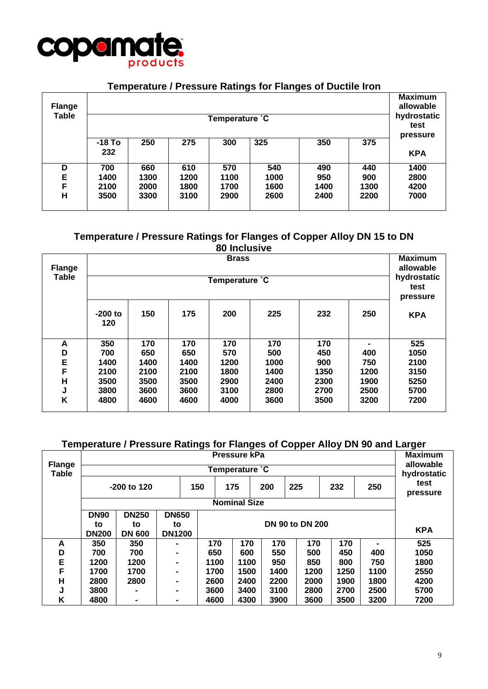

### **Temperature / Pressure Ratings for Flanges of Ductile Iron**

| <b>Flange</b><br><b>Table</b> |                 |      |      | Temperature °C |      |      |      | <b>Maximum</b><br>allowable<br>hydrostatic<br>test<br>pressure |
|-------------------------------|-----------------|------|------|----------------|------|------|------|----------------------------------------------------------------|
|                               | $-18$ To<br>232 | 250  | 275  | 300            | 325  | 350  | 375  | <b>KPA</b>                                                     |
| D                             | 700             | 660  | 610  | 570            | 540  | 490  | 440  | 1400                                                           |
| E                             | 1400            | 1300 | 1200 | 1100           | 1000 | 950  | 900  | 2800                                                           |
| F                             | 2100            | 2000 | 1800 | 1700           | 1600 | 1400 | 1300 | 4200                                                           |
| Н                             | 3500            | 3300 | 3100 | 2900           | 2600 | 2400 | 2200 | 7000                                                           |

### **Temperature / Pressure Ratings for Flanges of Copper Alloy DN 15 to DN 80 Inclusive**

| <b>Maximum</b> |                  |              |      |                |      |      |      |                                 |  |  |  |  |  |  |  |
|----------------|------------------|--------------|------|----------------|------|------|------|---------------------------------|--|--|--|--|--|--|--|
| <b>Flange</b>  |                  | <b>Brass</b> |      |                |      |      |      |                                 |  |  |  |  |  |  |  |
| <b>Table</b>   |                  |              |      | Temperature °C |      |      |      | hydrostatic<br>test<br>pressure |  |  |  |  |  |  |  |
|                | $-200$ to<br>120 | 150          | 175  | 200            | 225  | 232  | 250  | <b>KPA</b>                      |  |  |  |  |  |  |  |
| A              | 350              | 170          | 170  | 170            | 170  | 170  |      | 525                             |  |  |  |  |  |  |  |
| D              | 700              | 650          | 650  | 570            | 500  | 450  | 400  | 1050                            |  |  |  |  |  |  |  |
| E              | 1400             | 1400         | 1400 | 1200           | 1000 | 900  | 750  | 2100                            |  |  |  |  |  |  |  |
| F              | 2100             | 2100         | 2100 | 1800           | 1400 | 1350 | 1200 | 3150                            |  |  |  |  |  |  |  |
| H              | 3500             | 3500         | 3500 | 2900           | 2400 | 2300 | 1900 | 5250                            |  |  |  |  |  |  |  |
| J              | 3800             | 3600         | 3600 | 3100           | 2800 | 2700 | 2500 | 5700                            |  |  |  |  |  |  |  |
| Κ              | 4800             | 4600         | 4600 | 4000           | 3600 | 3500 | 3200 | 7200                            |  |  |  |  |  |  |  |

### **Temperature / Pressure Ratings for Flanges of Copper Alloy DN 90 and Larger**

|                               |              | Pressure kPa                                                   |               |      |                |      |      |      |      |                          |  |  |  |  |  |  |
|-------------------------------|--------------|----------------------------------------------------------------|---------------|------|----------------|------|------|------|------|--------------------------|--|--|--|--|--|--|
| <b>Flange</b><br><b>Table</b> |              |                                                                |               |      | Temperature °C |      |      |      |      | allowable<br>hydrostatic |  |  |  |  |  |  |
|                               |              | -200 to 120                                                    |               | 150  | 175            | 200  | 225  | 232  | 250  | test<br>pressure         |  |  |  |  |  |  |
|                               |              | <b>Nominal Size</b>                                            |               |      |                |      |      |      |      |                          |  |  |  |  |  |  |
|                               | <b>DN90</b>  | <b>DN250</b><br><b>DN650</b>                                   |               |      |                |      |      |      |      |                          |  |  |  |  |  |  |
|                               | to           | <b>DN 90 to DN 200</b><br>to<br>to                             |               |      |                |      |      |      |      |                          |  |  |  |  |  |  |
|                               | <b>DN200</b> | <b>DN 600</b>                                                  | <b>DN1200</b> |      |                |      |      |      |      | <b>KPA</b>               |  |  |  |  |  |  |
| A                             | 350          | 350                                                            |               | 170  | 170            | 170  | 170  | 170  |      | 525                      |  |  |  |  |  |  |
| D                             | 700          | 700                                                            |               | 650  | 600            | 550  | 500  | 450  | 400  | 1050                     |  |  |  |  |  |  |
| E                             | 1200         | 1200                                                           |               | 1100 | 1100           | 950  | 850  | 800  | 750  | 1800                     |  |  |  |  |  |  |
| F                             | 1700         | 1700                                                           |               | 1700 | 1500           | 1400 | 1200 | 1250 | 1100 | 2550                     |  |  |  |  |  |  |
| Н                             | 2800         | 2800                                                           |               | 2600 | 2400           | 2200 | 2000 | 1900 | 1800 | 4200                     |  |  |  |  |  |  |
| J                             | 3800         | 3600<br>3400<br>2800<br>2700<br>2500<br>3100<br>$\blacksquare$ |               |      |                |      |      |      |      |                          |  |  |  |  |  |  |
| Κ                             | 4800         |                                                                |               | 4600 | 4300           | 3900 | 3600 | 3500 | 3200 | 7200                     |  |  |  |  |  |  |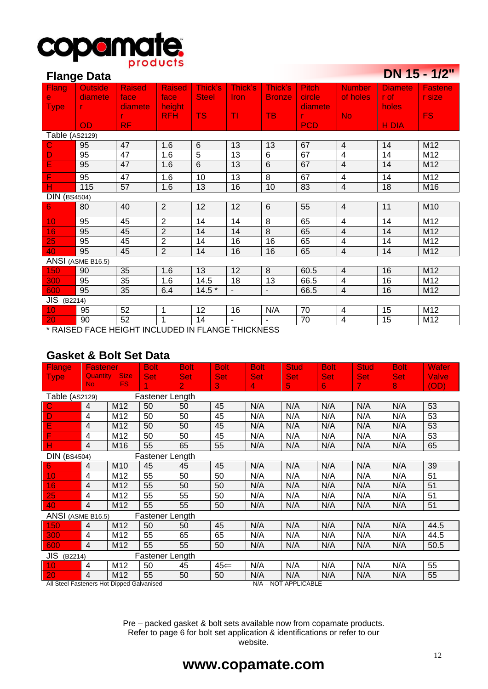

|                     | <b>Flange Data</b> |                                                   |                |              |                |               |              |                          |                | DN 15 - 1/2"  |
|---------------------|--------------------|---------------------------------------------------|----------------|--------------|----------------|---------------|--------------|--------------------------|----------------|---------------|
| Flang               | <b>Outside</b>     | <b>Raised</b>                                     | <b>Raised</b>  | Thick's      | Thick's        | Thick's       | <b>Pitch</b> | <b>Number</b>            | <b>Diamete</b> | Fastene       |
| $\mathbf{e}$        | diamete            | face                                              | face           | <b>Steel</b> | <b>Iron</b>    | <b>Bronze</b> | circle       | of holes                 | r of           | <b>r</b> size |
| <b>Type</b>         |                    | diamete                                           | height         |              |                |               | diamete      |                          | holes          |               |
|                     |                    | r.                                                | <b>RFH</b>     | <b>TS</b>    | TI             | <b>TB</b>     |              | <b>No</b>                |                | <b>FS</b>     |
|                     | <b>OD</b>          | RF.                                               |                |              |                |               | <b>PCD</b>   |                          | H DIA          |               |
| Table (AS2129)      |                    |                                                   |                |              |                |               |              |                          |                |               |
| $\mathbf C$         | 95                 | 47                                                | 1.6            | 6            | 13             | 13            | 67           | $\overline{4}$           | 14             | M12           |
| D                   | 95                 | 47                                                | 1.6            | 5            | 13             | 6             | 67           | 4                        | 14             | M12           |
| E                   | 95                 | 47                                                | 1.6            | 6            | 13             | 6             | 67           | $\overline{4}$           | 14             | M12           |
| F                   | 95                 | 47                                                | 1.6            | 10           | 13             | 8             | 67           | $\overline{\mathbf{4}}$  | 14             | M12           |
| н                   | 115                | 57                                                | 1.6            | 13           | 16             | 10            | 83           | $\overline{4}$           | 18             | M16           |
| <b>DIN (BS4504)</b> |                    |                                                   |                |              |                |               |              |                          |                |               |
| 6                   | 80                 | 40                                                | 2              | 12           | 12             | 6             | 55           | $\overline{4}$           | 11             | M10           |
| 10                  | 95                 | 45                                                | $\overline{2}$ | 14           | 14             | 8             | 65           | 4                        | 14             | M12           |
| 16                  | 95                 | 45                                                | $\overline{2}$ | 14           | 14             | 8             | 65           | 4                        | 14             | M12           |
| 25                  | 95                 | 45                                                | $\overline{2}$ | 14           | 16             | 16            | 65           | $\overline{\mathcal{L}}$ | 14             | M12           |
| 40                  | 95                 | 45                                                | $\overline{2}$ | 14           | 16             | 16            | 65           | $\overline{4}$           | 14             | M12           |
|                     | ANSI (ASME B16.5)  |                                                   |                |              |                |               |              |                          |                |               |
| 150                 | 90                 | 35                                                | 1.6            | 13           | 12             | 8             | 60.5         | $\overline{4}$           | 16             | M12           |
| 300                 | 95                 | 35                                                | 1.6            | 14.5         | 18             | 13            | 66.5         | 4                        | 16             | M12           |
| 600                 | 95                 | 35                                                | 6.4            | $14.5*$      | $\blacksquare$ | $\sim$        | 66.5         | $\overline{4}$           | 16             | M12           |
| <b>JIS</b> (B2214)  |                    |                                                   |                |              |                |               |              |                          |                |               |
| 10                  | 95                 | 52                                                | 1              | 12           | 16             | N/A           | 70           | $\overline{\mathcal{L}}$ | 15             | M12           |
| 20                  | 90                 | 52                                                | $\mathbf 1$    | 14           |                |               | 70           | $\overline{4}$           | 15             | M12           |
|                     |                    | * RAISED EACE HEIGHT INCLUDED IN ELANGE THICKNESS |                |              |                |               |              |                          |                |               |

**CONTRACTOR** 

RAISED FACE HEIGHT INCLUDED IN FLANGE THICKNESS

# **Gasket & Bolt Set Data**

| <b>Flange</b>                             | <b>Fastener</b> |                 | <b>Bolt</b>     | <b>Bolt</b>    | <b>Bolt</b> | <b>Bolt</b> | <b>Stud</b>          | <b>Bolt</b> | Stud <sub>/</sub> | <b>Bolt</b> | Wafer |
|-------------------------------------------|-----------------|-----------------|-----------------|----------------|-------------|-------------|----------------------|-------------|-------------------|-------------|-------|
| <b>Type</b>                               | <b>Quantity</b> | <b>Size</b>     | <b>Set</b>      | <b>Set</b>     | <b>Set</b>  | <b>Set</b>  | <b>Set</b>           | <b>Set</b>  | <b>Set</b>        | <b>Set</b>  | Valve |
|                                           | No.             | FS.             |                 | $\overline{2}$ | 3           | 4           | 5                    | 6           | 7.                | 8           | (OD)  |
| Table (AS2129)                            |                 |                 | Fastener Length |                |             |             |                      |             |                   |             |       |
| C                                         | 4               | M12             | 50              | 50             | 45          | N/A         | N/A                  | N/A         | N/A               | N/A         | 53    |
| D                                         | $\overline{4}$  | M12             | 50              | 50             | 45          | N/A         | N/A                  | N/A         | N/A               | N/A         | 53    |
| E                                         | $\overline{4}$  | M12             | 50              | 50             | 45          | N/A         | N/A                  | N/A         | N/A               | N/A         | 53    |
| F                                         | 4               | M12             | 50              | 50             | 45          | N/A         | N/A                  | N/A         | N/A               | N/A         | 53    |
| н                                         | $\overline{4}$  | M16             | 55              | 65             | 55          | N/A         | N/A                  | N/A         | N/A               | N/A         | 65    |
| <b>DIN (BS4504)</b>                       |                 |                 | Fastener Length |                |             |             |                      |             |                   |             |       |
| 6                                         | $\overline{4}$  | M <sub>10</sub> | 45              | 45             | 45          | N/A         | N/A                  | N/A         | N/A               | N/A         | 39    |
| 10                                        | 4               | M12             | 55              | 50             | 50          | N/A         | N/A                  | N/A         | N/A               | N/A         | 51    |
| 16                                        | $\overline{4}$  | M12             | 55              | 50             | 50          | N/A         | N/A                  | N/A         | N/A               | N/A         | 51    |
| 25                                        | 4               | M12             | 55              | 55             | 50          | N/A         | N/A                  | N/A         | N/A               | N/A         | 51    |
| 40                                        | $\overline{4}$  | M12             | 55              | 55             | 50          | N/A         | N/A                  | N/A         | N/A               | N/A         | 51    |
| ANSI (ASME B16.5)                         |                 |                 | Fastener Length |                |             |             |                      |             |                   |             |       |
| 150                                       | $\overline{4}$  | M12             | 50              | 50             | 45          | N/A         | N/A                  | N/A         | N/A               | N/A         | 44.5  |
| 300                                       | 4               | M12             | 55              | 65             | 65          | N/A         | N/A                  | N/A         | N/A               | N/A         | 44.5  |
| 600                                       | 4               | M12             | 55              | 55             | 50          | N/A         | N/A                  | N/A         | N/A               | N/A         | 50.5  |
| <b>JIS</b> (B2214)<br>Fastener Length     |                 |                 |                 |                |             |             |                      |             |                   |             |       |
| 10                                        | 4               | M12             | 50              | 45             | 45∈         | N/A         | N/A                  | N/A         | N/A               | N/A         | 55    |
| 20                                        | $\overline{4}$  | M12             | 55              | 50             | 50          | N/A         | N/A                  | N/A         | N/A               | N/A         | 55    |
| All Steel Fasteners Hot Dipped Galvanised |                 |                 |                 |                |             |             | N/A - NOT APPLICABLE |             |                   |             |       |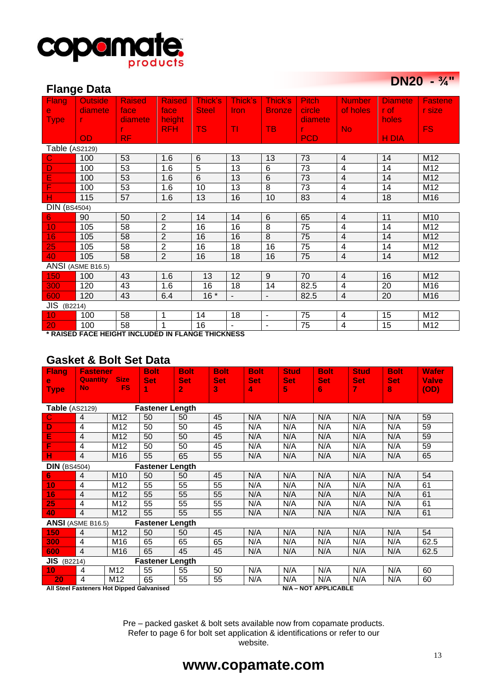

### **Flange Data**

| <b>DN20</b> | $- \frac{3}{4}$ |
|-------------|-----------------|
|-------------|-----------------|

|                       | ı ıalıy <del>u</del> Dala                        |               |                |              |                |                          |              |                          |                |                |
|-----------------------|--------------------------------------------------|---------------|----------------|--------------|----------------|--------------------------|--------------|--------------------------|----------------|----------------|
| <b>Flang</b>          | <b>Outside</b>                                   | <b>Raised</b> | <b>Raised</b>  | Thick's      | Thick's        | Thick's                  | <b>Pitch</b> | <b>Number</b>            | <b>Diamete</b> | <b>Fastene</b> |
| $\mathbf{e}$          | diamete                                          | face          | face           | <b>Steel</b> | <b>Iron</b>    | <b>Bronze</b>            | circle       | of holes                 | r of           | r size         |
| <b>Type</b>           |                                                  | diamete       | height         |              |                |                          | diamete      |                          | holes          |                |
|                       |                                                  |               | <b>RFH</b>     | <b>TS</b>    | TI             | <b>TB</b>                |              | <b>No</b>                |                | <b>FS</b>      |
|                       | OD                                               | <b>RF</b>     |                |              |                |                          | <b>PCD</b>   |                          | <b>HDIA</b>    |                |
| <b>Table (AS2129)</b> |                                                  |               |                |              |                |                          |              |                          |                |                |
| $\mathbf C$           | 100                                              | 53            | 1.6            | 6            | 13             | 13                       | 73           | $\overline{4}$           | 14             | M12            |
| D                     | 100                                              | 53            | 1.6            | 5            | 13             | $\,6$                    | 73           | 4                        | 14             | M12            |
| Ε                     | 100                                              | 53            | 1.6            | 6            | 13             | $6\phantom{1}6$          | 73           | $\overline{\mathcal{A}}$ | 14             | M12            |
| F                     | 100                                              | 53            | 1.6            | 10           | 13             | 8                        | 73           | $\overline{\mathcal{L}}$ | 14             | M12            |
| н                     | 115                                              | 57            | 1.6            | 13           | 16             | 10                       | 83           | $\overline{4}$           | 18             | M16            |
| <b>DIN (BS4504)</b>   |                                                  |               |                |              |                |                          |              |                          |                |                |
| 6                     | 90                                               | 50            | $\overline{2}$ | 14           | 14             | $6\phantom{1}6$          | 65           | $\overline{4}$           | 11             | M10            |
| 10                    | 105                                              | 58            | $\overline{2}$ | 16           | 16             | 8                        | 75           | $\overline{\mathbf{4}}$  | 14             | M12            |
| 16                    | 105                                              | 58            | $\overline{2}$ | 16           | 16             | 8                        | 75           | $\overline{\mathbf{4}}$  | 14             | M12            |
| 25                    | 105                                              | 58            | $\overline{2}$ | 16           | 18             | 16                       | 75           | $\overline{\mathbf{4}}$  | 14             | M12            |
| 40                    | 105                                              | 58            | $\overline{2}$ | 16           | 18             | 16                       | 75           | $\overline{4}$           | 14             | M12            |
|                       | ANSI (ASME B16.5)                                |               |                |              |                |                          |              |                          |                |                |
| 150                   | 100                                              | 43            | 1.6            | 13           | 12             | 9                        | 70           | 4                        | 16             | M12            |
| 300                   | 120                                              | 43            | 1.6            | 16           | 18             | 14                       | 82.5         | $\overline{\mathcal{L}}$ | 20             | M16            |
| 600                   | 120                                              | 43            | 6.4            | $16*$        | $\blacksquare$ | $\overline{\phantom{a}}$ | 82.5         | $\overline{4}$           | 20             | M16            |
| <b>JIS</b> (B2214)    |                                                  |               |                |              |                |                          |              |                          |                |                |
| 10                    | 100                                              | 58            | 1              | 14           | 18             | $\blacksquare$           | 75           | $\overline{4}$           | 15             | M12            |
| 20                    | 100                                              | 58            |                | 16           |                | $\blacksquare$           | 75           | 4                        | 15             | M12            |
|                       | * RAIGER EAGE UFIQUE INQUIRER IN ELANGE TURKNEGO |               |                |              |                |                          |              |                          |                |                |

**\* RAISED FACE HEIGHT INCLUDED IN FLANGE THICKNESS**

### **Gasket & Bolt Set Data**

| <b>Flang</b><br>e     | <b>Fastener</b><br><b>Quantity</b>                                       | <b>Size</b>     | <b>Bolt</b><br><b>Set</b> | <b>Bolt</b><br><b>Set</b> | <b>Bolt</b><br><b>Set</b> | <b>Bolt</b><br><b>Set</b> | <b>Stud</b><br><b>Set</b> | <b>Bolt</b><br><b>Set</b> | <b>Stud</b><br><b>Set</b> | <b>Bolt</b><br><b>Set</b> | <b>Wafer</b><br><b>Valve</b> |
|-----------------------|--------------------------------------------------------------------------|-----------------|---------------------------|---------------------------|---------------------------|---------------------------|---------------------------|---------------------------|---------------------------|---------------------------|------------------------------|
| <b>Type</b>           | No.                                                                      | <b>FS</b>       | 1                         | $\overline{2}$            | 3                         | 4                         | 5                         | 6                         | 7                         | 8                         | (OD)                         |
| <b>Table</b> (AS2129) |                                                                          |                 | <b>Fastener Length</b>    |                           |                           |                           |                           |                           |                           |                           |                              |
| C.                    | $\overline{4}$                                                           | M12             | 50                        | 50                        | 45                        | N/A                       | N/A                       | N/A                       | N/A                       | N/A                       | 59                           |
| D                     | $\overline{4}$                                                           | M <sub>12</sub> | 50                        | 50                        | 45                        | N/A                       | N/A                       | N/A                       | N/A                       | N/A                       | 59                           |
| E                     | $\overline{4}$                                                           | M12             | 50                        | 50                        | 45                        | N/A                       | N/A                       | N/A                       | N/A                       | N/A                       | 59                           |
| F                     | 4                                                                        | M12             | 50                        | 50                        | 45                        | N/A                       | N/A                       | N/A                       | N/A                       | N/A                       | 59                           |
| н                     | $\overline{4}$                                                           | M16             | 55                        | 65                        | 55                        | N/A                       | N/A                       | N/A                       | N/A                       | N/A                       | 65                           |
| <b>DIN</b> (BS4504)   |                                                                          |                 | <b>Fastener Length</b>    |                           |                           |                           |                           |                           |                           |                           |                              |
| 6                     | $\overline{4}$                                                           | M <sub>10</sub> | 50                        | 50                        | 45                        | N/A                       | N/A                       | N/A                       | N/A                       | N/A                       | 54                           |
| 10                    | $\overline{4}$                                                           | M12             | 55                        | 55                        | 55                        | N/A                       | N/A                       | N/A                       | N/A                       | N/A                       | 61                           |
| 16                    | $\overline{4}$                                                           | M <sub>12</sub> | 55                        | 55                        | 55                        | N/A                       | N/A                       | N/A                       | N/A                       | N/A                       | 61                           |
| 25                    | 4                                                                        | M12             | 55                        | 55                        | 55                        | N/A                       | N/A                       | N/A                       | N/A                       | N/A                       | 61                           |
| 40                    | $\overline{4}$                                                           | M <sub>12</sub> | 55                        | 55                        | 55                        | N/A                       | N/A                       | N/A                       | N/A                       | N/A                       | 61                           |
|                       | <b>ANSI</b> (ASME B16.5)                                                 |                 | <b>Fastener Length</b>    |                           |                           |                           |                           |                           |                           |                           |                              |
| 150                   | $\overline{4}$                                                           | M <sub>12</sub> | 50                        | 50                        | 45                        | N/A                       | N/A                       | N/A                       | N/A                       | N/A                       | 54                           |
| 300                   | $\overline{4}$                                                           | M16             | 65                        | 65                        | 65                        | N/A                       | N/A                       | N/A                       | N/A                       | N/A                       | 62.5                         |
| 600                   | $\overline{4}$                                                           | M <sub>16</sub> | 65                        | 45                        | 45                        | N/A                       | N/A                       | N/A                       | N/A                       | N/A                       | 62.5                         |
| $JIS$ (B2214)         |                                                                          |                 | <b>Fastener Length</b>    |                           |                           |                           |                           |                           |                           |                           |                              |
| 10                    | 4                                                                        | M12             | 55                        | 55                        | 50                        | N/A                       | N/A                       | N/A                       | N/A                       | N/A                       | 60                           |
| 20                    | 4                                                                        | M <sub>12</sub> | 65                        | 55                        | 55                        | N/A                       | N/A                       | N/A                       | N/A                       | N/A                       | 60                           |
|                       | <b>N/A - NOT APPLICABLE</b><br>All Steel Fasteners Hot Dipped Galvanised |                 |                           |                           |                           |                           |                           |                           |                           |                           |                              |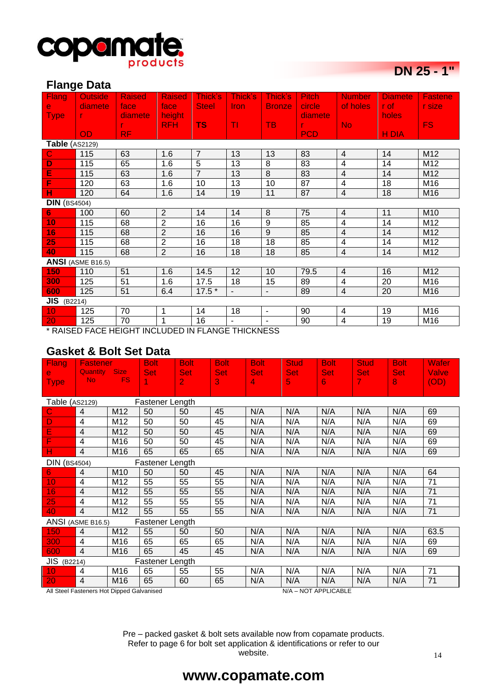

# **DN 25 - 1"**

#### **Flange Data**

| ັ<br><b>Flang</b>     | <b>Outside</b>                                    | <b>Raised</b> | <b>Raised</b>  | Thick's        | Thick's        | Thick's        | <b>Pitch</b> | <b>Number</b>           | <b>Djamete</b> | <b>Fastene</b> |
|-----------------------|---------------------------------------------------|---------------|----------------|----------------|----------------|----------------|--------------|-------------------------|----------------|----------------|
| e                     | diamete.                                          | face          | face           | <b>Steel</b>   | Iron.          | <b>Bronze</b>  | circle       | of holes                | r of:          | r size         |
| <b>Type</b>           | T.                                                | diamete       | height         |                |                |                | diamete      |                         | holes          |                |
|                       |                                                   | r.            | <b>RFH</b>     | TS:            | TI             | <b>TB</b>      | T.           | <b>No</b>               |                | FS.            |
|                       | <b>OD</b>                                         | RF.           |                |                |                |                | <b>PCD</b>   |                         | <b>HDIA</b>    |                |
| <b>Table</b> (AS2129) |                                                   |               |                |                |                |                |              |                         |                |                |
| $\mathbf C$           | 115                                               | 63            | 1.6            | $\overline{7}$ | 13             | 13             | 83           | $\overline{4}$          | 14             | M12            |
| D                     | 115                                               | 65            | 1.6            | 5              | 13             | 8              | 83           | 4                       | 14             | M12            |
| Ε                     | 115                                               | 63            | 1.6            | $\overline{7}$ | 13             | 8              | 83           | $\overline{\mathbf{4}}$ | 14             | M12            |
| F                     | 120                                               | 63            | 1.6            | 10             | 13             | 10             | 87           | 4                       | 18             | M16            |
| н                     | 120                                               | 64            | 1.6            | 14             | 19             | 11             | 87           | $\overline{4}$          | 18             | M16            |
| <b>DIN</b> (BS4504)   |                                                   |               |                |                |                |                |              |                         |                |                |
| 6 <sup>1</sup>        | 100                                               | 60            | 2              | 14             | 14             | 8              | 75           | $\overline{4}$          | 11             | M10            |
| 10 <sub>1</sub>       | 115                                               | 68            | $\overline{2}$ | 16             | 16             | $\overline{9}$ | 85           | 4                       | 14             | M12            |
| 16                    | 115                                               | 68            | $\overline{2}$ | 16             | 16             | $\overline{9}$ | 85           | $\overline{4}$          | 14             | M12            |
| 25                    | 115                                               | 68            | $\overline{2}$ | 16             | 18             | 18             | 85           | 4                       | 14             | M12            |
| 40                    | 115                                               | 68            | 2              | 16             | 18             | 18             | 85           | 4                       | 14             | M12            |
|                       | ANSI (ASME B16.5)                                 |               |                |                |                |                |              |                         |                |                |
| 150                   | 110                                               | 51            | 1.6            | 14.5           | 12             | 10             | 79.5         | 4                       | 16             | M12            |
| 300                   | 125                                               | 51            | 1.6            | 17.5           | 18             | 15             | 89           | $\overline{\mathbf{4}}$ | 20             | M16            |
| 600                   | 125                                               | 51            | 6.4            | $17.5*$        | $\blacksquare$ | $\mathbf{r}$   | 89           | $\overline{4}$          | 20             | M16            |
| $JIS$ (B2214)         |                                                   |               |                |                |                |                |              |                         |                |                |
| 10 <sub>1</sub>       | 125                                               | 70            | 1              | 14             | 18             | $\blacksquare$ | 90           | $\overline{4}$          | 19             | M16            |
| 20                    | 125                                               | 70            | $\overline{1}$ | 16             |                |                | 90           | 4                       | 19             | M16            |
|                       | * DAIRED FACE HEICHT INCLUDED IN ELANCE THICKNESS |               |                |                |                |                |              |                         |                |                |

RAISED FACE HEIGHT INCLUDED IN FLANGE THICKNESS

### **Gasket & Bolt Set Data**

| Flang.                | <b>Fastener</b>                 |     | <b>Bolt</b>     | <b>Bolt</b>    | <b>Bolt</b> | <b>Bolt</b> | <b>Stud</b> | <b>Bolt</b> | <b>Stud</b> | <b>Bolt</b> | Wafer |
|-----------------------|---------------------------------|-----|-----------------|----------------|-------------|-------------|-------------|-------------|-------------|-------------|-------|
| e                     | Quantity Size<br>N <sub>o</sub> | FS. | <b>Set</b>      | <b>Set</b>     | <b>Set</b>  | <b>Set</b>  | <b>Set</b>  | <b>Set</b>  | <b>Set</b>  | <b>Set</b>  | Valve |
| <b>Type</b>           |                                 |     | 1               | $\overline{2}$ | 3           | 4           | 5           | 6           | 4           | 8           | (OD)  |
| <b>Table (AS2129)</b> |                                 |     | Fastener Length |                |             |             |             |             |             |             |       |
| C                     | $\overline{4}$                  | M12 | 50              | 50             | 45          | N/A         | N/A         | N/A         | N/A         | N/A         | 69    |
| D                     | $\overline{4}$                  | M12 | 50              | 50             | 45          | N/A         | N/A         | N/A         | N/A         | N/A         | 69    |
| E                     | $\overline{4}$                  | M12 | 50              | 50             | 45          | N/A         | N/A         | N/A         | N/A         | N/A         | 69    |
| F                     | 4                               | M16 | 50              | 50             | 45          | N/A         | N/A         | N/A         | N/A         | N/A         | 69    |
| н                     | $\overline{4}$                  | M16 | 65              | 65             | 65          | N/A         | N/A         | N/A         | N/A         | N/A         | 69    |
| <b>DIN</b> (BS4504)   |                                 |     | Fastener Length |                |             |             |             |             |             |             |       |
| 6                     | $\overline{4}$                  | M10 | 50              | 50             | 45          | N/A         | N/A         | N/A         | N/A         | N/A         | 64    |
| 10                    | 4                               | M12 | 55              | 55             | 55          | N/A         | N/A         | N/A         | N/A         | N/A         | 71    |
| 16                    | $\overline{4}$                  | M12 | 55              | 55             | 55          | N/A         | N/A         | N/A         | N/A         | N/A         | 71    |
| 25                    | 4                               | M12 | 55              | 55             | 55          | N/A         | N/A         | N/A         | N/A         | N/A         | 71    |
| 40                    | $\overline{4}$                  | M12 | 55              | 55             | 55          | N/A         | N/A         | N/A         | N/A         | N/A         | 71    |
|                       | ANSI (ASME B16.5)               |     | Fastener Length |                |             |             |             |             |             |             |       |
| 150                   | $\overline{4}$                  | M12 | 55              | 50             | 50          | N/A         | N/A         | N/A         | N/A         | N/A         | 63.5  |
| 300                   | $\overline{4}$                  | M16 | 65              | 65             | 65          | N/A         | N/A         | N/A         | N/A         | N/A         | 69    |
| 600                   | $\overline{4}$                  | M16 | 65              | 45             | 45          | N/A         | N/A         | N/A         | N/A         | N/A         | 69    |
| <b>JIS</b> (B2214)    |                                 |     | Fastener Length |                |             |             |             |             |             |             |       |
| 10                    | 4                               | M16 | 65              | 55             | 55          | N/A         | N/A         | N/A         | N/A         | N/A         | 71    |
| 20                    | $\overline{4}$                  | M16 | 65              | 60             | 65          | N/A         | N/A         | N/A         | N/A         | N/A         | 71    |

All Steel Fasteners Hot Dipped Galvanised N/A – NOT APPLICABLE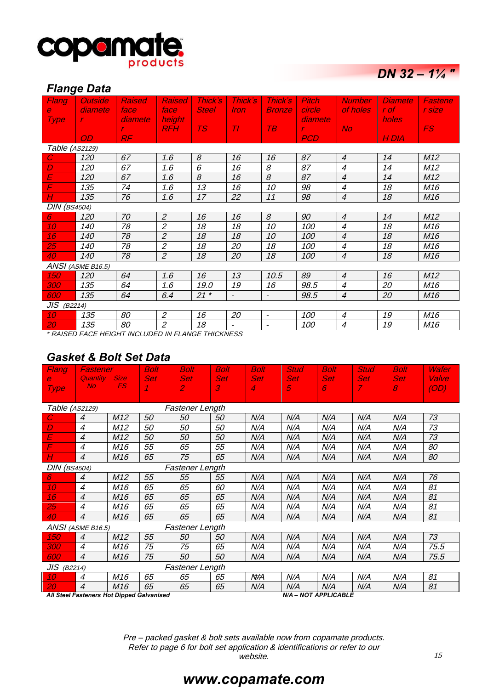

# *DN 32 – 1¼ "*

#### *Flange Data*

| Flang               | <b>Outside</b>                                                 | <b>Raised</b> | <b>Raised</b>  | Thick's      | Thick's        | Thick's                  | <b>Pitch</b>  | <b>Number</b>            | <b>Diamete</b> | Fastene         |
|---------------------|----------------------------------------------------------------|---------------|----------------|--------------|----------------|--------------------------|---------------|--------------------------|----------------|-----------------|
| $\mathbf{e}$        | diamete                                                        | face          | face           | <b>Steel</b> | <i>Iron</i>    | <b>Bronze</b>            | circle        | of holes                 | r of i         | r size          |
| <b>Type</b>         | r.                                                             | diamete       | height         |              |                |                          | diamete       |                          | holes          |                 |
|                     |                                                                | r.            | <b>RFH</b>     | <b>TS</b>    | Tl             | T B                      | $\mathcal{L}$ | <b>No</b>                |                | FS.             |
|                     | OD                                                             | RF            |                |              |                |                          | <b>PCD</b>    |                          | H DIA          |                 |
| Table (AS2129)      |                                                                |               |                |              |                |                          |               |                          |                |                 |
| $\overline{C}$      | 120                                                            | 67            | 1.6            | 8            | 16             | 16                       | 87            | $\overline{4}$           | 14             | M12             |
| D                   | 120                                                            | 67            | 1.6            | 6            | 16             | 8                        | 87            | $\overline{4}$           | 14             | M12             |
| E                   | 120                                                            | 67            | 1.6            | 8            | 16             | 8                        | 87            | $\overline{4}$           | 14             | M12             |
| F                   | 135                                                            | 74            | 1.6            | 13           | 16             | 10                       | 98            | $\overline{\mathcal{A}}$ | 18             | M <sub>16</sub> |
| Н                   | 135                                                            | 76            | 1.6            | 17           | 22             | 11                       | 98            | $\overline{4}$           | 18             | M16             |
| <b>DIN</b> (BS4504) |                                                                |               |                |              |                |                          |               |                          |                |                 |
| $6^{\circ}$         | 120                                                            | 70            | $\overline{2}$ | 16           | 16             | 8                        | 90            | $\overline{4}$           | 14             | M12             |
| 10                  | 140                                                            | 78            | $\overline{2}$ | 18           | 18             | 10                       | 100           | $\overline{4}$           | 18             | M <sub>16</sub> |
| 16                  | 140                                                            | 78            | $\overline{2}$ | 18           | 18             | 10                       | <i>100</i>    | $\boldsymbol{4}$         | 18             | M16             |
| 25                  | 140                                                            | 78            | $\mathfrak{p}$ | 18           | 20             | 18                       | 100           | 4                        | 18             | M16             |
| 40                  | 140                                                            | 78            | $\overline{2}$ | 18           | 20             | 18                       | 100           | $\overline{4}$           | 18             | M <sub>16</sub> |
|                     | ANSI (ASME B16.5)                                              |               |                |              |                |                          |               |                          |                |                 |
| 150                 | 120                                                            | 64            | 1.6            | 16           | 13             | 10.5                     | 89            | $\overline{4}$           | 16             | M12             |
| 300                 | 135                                                            | 64            | 1.6            | 19.0         | 19             | 16                       | 98.5          | $\overline{\mathcal{A}}$ | 20             | M <sub>16</sub> |
| 600                 | 135                                                            | 64            | 6.4            | $21 *$       | $\blacksquare$ | $\blacksquare$           | 98.5          | $\overline{4}$           | 20             | M <sub>16</sub> |
| $JIS$ (B2214)       |                                                                |               |                |              |                |                          |               |                          |                |                 |
| 10                  | 135                                                            | 80            | $\overline{2}$ | 16           | 20             | $\overline{\phantom{a}}$ | 100           | $\boldsymbol{4}$         | 19             | M <sub>16</sub> |
| 20                  | 135                                                            | 80            | $\overline{2}$ | 18           |                | $\blacksquare$           | <i>100</i>    | $\overline{4}$           | 19             | M <sub>16</sub> |
|                     | <b><i>* DAICED FACE UFICUT INCLUDED IN FLANCE TURKIECO</i></b> |               |                |              |                |                          |               |                          |                |                 |

\* RAISED FACE HEIGHT INCLUDED IN FLANGE THICKNESS

### *Gasket & Bolt Set Data*

| Flang               | Fastener                     |                          | <b>Bolt</b>                               | <b>Bolt</b>                  | <b>Bolt</b>     | <b>Bolt</b>     | <b>Stud</b>          | <b>Bolt</b>     | <b>Stud</b>           | <b>Bolt</b>                               | Wafer         |
|---------------------|------------------------------|--------------------------|-------------------------------------------|------------------------------|-----------------|-----------------|----------------------|-----------------|-----------------------|-------------------------------------------|---------------|
| e.<br><b>Type</b>   | <b>Quantity</b><br><b>No</b> | <b>Size</b><br><b>FS</b> | <b>Set</b>                                | <b>Set</b><br>$\overline{2}$ | <b>Set</b><br>3 | <b>Set</b><br>4 | <b>Set</b><br>5      | <b>Set</b><br>6 | Set:<br>$\mathcal{I}$ | <b>Set</b><br>$\mathcal{S}_{\mathcal{S}}$ | Valve<br>(OD) |
|                     |                              |                          |                                           |                              |                 |                 |                      |                 |                       |                                           |               |
| Table (AS2129)      |                              |                          |                                           | <b>Fastener Length</b>       |                 |                 |                      |                 |                       |                                           |               |
| С                   | $\overline{4}$               | M12                      | 50                                        | 50                           | 50              | N/A             | N/A                  | N/A             | N/A                   | N/A                                       | 73            |
| D                   | $\overline{4}$               | M12                      | 50                                        | 50                           | 50              | N/A             | N/A                  | N/A             | N/A                   | N/A                                       | 73            |
| E                   | $\overline{4}$               | M12                      | 50                                        | 50                           | 50              | N/A             | N/A                  | N/A             | N/A                   | N/A                                       | 73            |
| F                   | 4                            | M16                      | 55                                        | 65                           | 55              | N/A             | N/A                  | N/A             | N/A                   | N/A                                       | 80            |
| Н                   | 4                            | M16                      | 65                                        | 75                           | 65              | N/A             | N/A                  | N/A             | N/A                   | N/A                                       | 80            |
| <b>DIN</b> (BS4504) |                              |                          |                                           | <b>Fastener Length</b>       |                 |                 |                      |                 |                       |                                           |               |
| 6                   | $\overline{4}$               | M12                      | 55                                        | 55                           | 55              | N/A             | N/A                  | N/A             | N/A                   | N/A                                       | 76            |
| 10 <sup>°</sup>     | 4                            | M16                      | 65                                        | 65                           | 60              | N/A             | N/A                  | N/A             | N/A                   | N/A                                       | 81            |
| 16                  | $\overline{4}$               | M16                      | 65                                        | 65                           | 65              | N/A             | N/A                  | N/A             | N/A                   | N/A                                       | 81            |
| 25                  | 4                            | M16                      | 65                                        | 65                           | 65              | N/A             | N/A                  | N/A             | N/A                   | N/A                                       | 81            |
| 40                  | $\overline{4}$               | M16                      | 65                                        | 65                           | 65              | N/A             | N/A                  | N/A             | N/A                   | N/A                                       | 81            |
|                     | ANSI (ASME B16.5)            |                          |                                           | <b>Fastener Length</b>       |                 |                 |                      |                 |                       |                                           |               |
| 150                 | $\overline{4}$               | M12                      | 55                                        | 50                           | 50              | N/A             | N/A                  | N/A             | N/A                   | N/A                                       | 73            |
| <i>300</i>          | $\overline{4}$               | M16                      | 75                                        | 75                           | 65              | N/A             | N/A                  | N/A             | N/A                   | N/A                                       | 75.5          |
| 600                 | $\overline{4}$               | M16                      | 75                                        | 50                           | 50              | N/A             | N/A                  | N/A             | N/A                   | N/A                                       | 75.5          |
| $JIS$ (B2214)       |                              |                          |                                           | <b>Fastener Length</b>       |                 |                 |                      |                 |                       |                                           |               |
| 10 <sup>°</sup>     | 4                            | M16                      | 65                                        | 65                           | 65              | N#A             | N/A                  | N/A             | N/A                   | N/A                                       | 81            |
| 20                  | $\overline{4}$               | M <sub>16</sub>          | 65                                        | 65                           | 65              | N/A             | N/A                  | N/A             | N/A                   | N/A                                       | 81            |
|                     |                              |                          | All Steel Fasteners Hot Dipped Galvanised |                              |                 |                 | N/A - NOT APPLICABLE |                 |                       |                                           |               |

Pre – packed gasket & bolt sets available now from copamate products. Refer to page 6 for bolt set application & identifications or refer to our website.

# *www.copamate.com*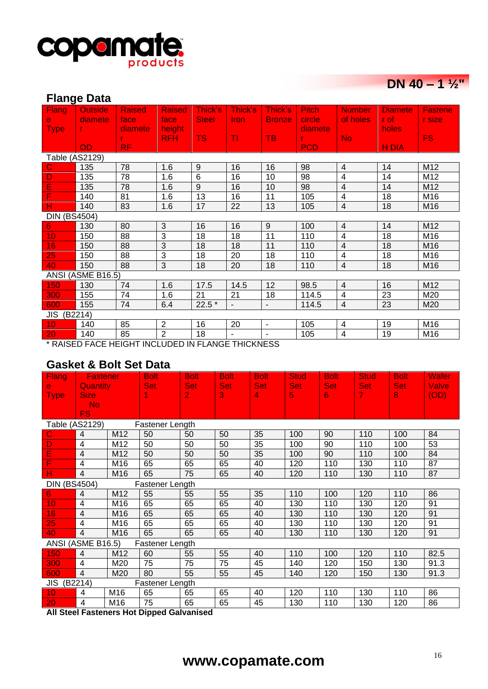

# **DN 40 – 1**  $\frac{1}{2}$ **"**

| <b>Flange Data</b>  |                                                                                  |               |                |              |                |                          |              |                          |                |                 |  |  |
|---------------------|----------------------------------------------------------------------------------|---------------|----------------|--------------|----------------|--------------------------|--------------|--------------------------|----------------|-----------------|--|--|
| Flang               | <b>Outside</b>                                                                   | <b>Raised</b> | <b>Raised</b>  | Thick's      | Thick's        | Thick's                  | <b>Pitch</b> | <b>Number</b>            | <b>Diamete</b> | <b>Fastene</b>  |  |  |
| $\mathbf{e}$        | diamete                                                                          | face          | face           | <b>Steel</b> | <b>Iron</b>    | <b>Bronze</b>            | circle       | of holes                 | r of           | r size          |  |  |
| <b>Type</b>         | $\mathbf{r}$                                                                     | diamete       | height         |              |                |                          | diamete      |                          | holes          |                 |  |  |
|                     |                                                                                  |               | <b>RFH</b>     | <b>TS</b>    | TI             | <b>TB</b>                | r            | <b>No</b>                |                | <b>FS</b>       |  |  |
|                     | <b>OD</b>                                                                        | RF.           |                |              |                |                          | <b>PCD</b>   |                          | <b>HDIA</b>    |                 |  |  |
| Table (AS2129)      |                                                                                  |               |                |              |                |                          |              |                          |                |                 |  |  |
| $\mathbf C$         | 135                                                                              | 78            | 1.6            | $9\,$        | 16             | 16                       | 98           | $\overline{4}$           | 14             | M12             |  |  |
| D                   | 135                                                                              | 78            | 1.6            | 6            | 16             | 10                       | 98           | $\overline{4}$           | 14             | M12             |  |  |
| E                   | 135                                                                              | 78            | 1.6            | 9            | 16             | 10                       | 98           | $\overline{\mathbf{4}}$  | 14             | M12             |  |  |
| F                   | 140                                                                              | 81            | 1.6            | 13           | 16             | 11                       | 105          | 4                        | 18             | M <sub>16</sub> |  |  |
| н                   | 140                                                                              | 83            | 1.6            | 17           | 22             | 13                       | 105          | $\overline{4}$           | 18             | M16             |  |  |
| <b>DIN (BS4504)</b> |                                                                                  |               |                |              |                |                          |              |                          |                |                 |  |  |
| 6                   | 130                                                                              | 80            | 3              | 16           | 16             | 9                        | 100          | $\overline{4}$           | 14             | M12             |  |  |
| 10                  | 150                                                                              | 88            | 3              | 18           | 18             | 11                       | 110          | $\overline{4}$           | 18             | M16             |  |  |
| 16                  | 150                                                                              | 88            | 3              | 18           | 18             | 11                       | 110          | $\overline{\mathcal{A}}$ | 18             | M16             |  |  |
| 25                  | 150                                                                              | 88            | 3              | 18           | 20             | 18                       | 110          | $\overline{\mathbf{4}}$  | 18             | M16             |  |  |
| 40                  | 150                                                                              | 88            | 3              | 18           | 20             | 18                       | 110          | $\overline{4}$           | 18             | M16             |  |  |
|                     | ANSI (ASME B16.5)                                                                |               |                |              |                |                          |              |                          |                |                 |  |  |
| 150                 | 130                                                                              | 74            | 1.6            | 17.5         | 14.5           | 12                       | 98.5         | 4                        | 16             | M12             |  |  |
| 300                 | 155                                                                              | 74            | 1.6            | 21           | 21             | 18                       | 114.5        | 4                        | 23             | M20             |  |  |
| 600                 | 155                                                                              | 74            | 6.4            | $22.5*$      | $\blacksquare$ | $\overline{\phantom{a}}$ | 114.5        | $\overline{4}$           | 23             | M20             |  |  |
|                     | JIS (B2214)                                                                      |               |                |              |                |                          |              |                          |                |                 |  |  |
| 10                  | 140                                                                              | 85            | $\overline{2}$ | 16           | 20             | $\overline{\phantom{0}}$ | 105          | 4                        | 19             | M16             |  |  |
| 20                  | $\overline{2}$<br>85<br>140<br>18<br>105<br>$\overline{\mathbf{4}}$<br>19<br>M16 |               |                |              |                |                          |              |                          |                |                 |  |  |
|                     | * RAISED FACE HEIGHT INCLUDED IN FLANGE THICKNESS                                |               |                |              |                |                          |              |                          |                |                 |  |  |

### **Gasket & Bolt Set Data**

| Flang                       | <b>Fastener</b>                |                 | <b>Bolt</b>     | <b>Bolt</b>                  | <b>Bolt</b>     | <b>Bolt</b>     | <b>Stud</b>     | <b>Bolt</b>     | <b>Stud</b>                  | <b>Bolt</b> | <b>Wafer</b>         |
|-----------------------------|--------------------------------|-----------------|-----------------|------------------------------|-----------------|-----------------|-----------------|-----------------|------------------------------|-------------|----------------------|
| $\mathbf{e}$<br><b>Type</b> | <b>Quantity</b><br><b>Size</b> |                 | <b>Set</b>      | <b>Set</b><br>$\overline{2}$ | <b>Set</b><br>3 | <b>Set</b><br>4 | <b>Set</b><br>5 | <b>Set</b><br>6 | <b>Set</b><br>$\overline{7}$ | Set:<br>8   | <b>Valve</b><br>(OD) |
|                             | N <sub>o</sub>                 |                 |                 |                              |                 |                 |                 |                 |                              |             |                      |
|                             | FS.                            |                 |                 |                              |                 |                 |                 |                 |                              |             |                      |
| Table (AS2129)              |                                |                 | Fastener Length |                              |                 |                 |                 |                 |                              |             |                      |
| C                           | $\overline{4}$                 | M <sub>12</sub> | 50              | 50                           | 50              | 35              | 100             | 90              | 110                          | 100         | 84                   |
| D                           | $\overline{4}$                 | M12             | 50              | 50                           | 50              | 35              | 100             | 90              | 110                          | 100         | 53                   |
| Ē                           | $\overline{4}$                 | M12             | 50              | 50                           | 50              | 35              | 100             | 90              | 110                          | 100         | 84                   |
| F                           | 4                              | M16             | 65              | 65                           | 65              | 40              | 120             | 110             | 130                          | 110         | 87                   |
| н                           | $\overline{4}$                 | M <sub>16</sub> | 65              | 75                           | 65              | 40              | 120             | 110             | 130                          | 110         | 87                   |
| <b>DIN (BS4504)</b>         |                                |                 | Fastener Length |                              |                 |                 |                 |                 |                              |             |                      |
| 6                           | $\overline{4}$                 | M12             | 55              | 55                           | 55              | 35              | 110             | 100             | 120                          | 110         | 86                   |
| 10                          | 4                              | M16             | 65              | 65                           | 65              | 40              | 130             | 110             | 130                          | 120         | 91                   |
| 16                          | $\overline{4}$                 | M <sub>16</sub> | 65              | 65                           | 65              | 40              | 130             | 110             | 130                          | 120         | 91                   |
| 25                          | 4                              | M16             | 65              | 65                           | 65              | 40              | 130             | 110             | 130                          | 120         | 91                   |
| 40                          | $\overline{4}$                 | M <sub>16</sub> | 65              | 65                           | 65              | 40              | 130             | 110             | 130                          | 120         | 91                   |
|                             | ANSI (ASME B16.5)              |                 | Fastener Length |                              |                 |                 |                 |                 |                              |             |                      |
| 150                         | $\overline{4}$                 | M12             | 60              | 55                           | 55              | 40              | 110             | 100             | 120                          | 110         | 82.5                 |
| 300                         | 4                              | M20             | 75              | 75                           | 75              | 45              | 140             | 120             | 150                          | 130         | 91.3                 |
| 600                         | $\overline{4}$                 | M20             | 80              | 55                           | 55              | 45              | 140             | 120             | 150                          | 130         | 91.3                 |
| JIS (B2214)                 |                                |                 | Fastener Length |                              |                 |                 |                 |                 |                              |             |                      |
| 10                          | 4                              | M <sub>16</sub> | 65              | 65                           | 65              | 40              | 120             | 110             | 130                          | 110         | 86                   |
| 20                          | $\overline{4}$                 | M16             | 75              | 65                           | 65              | 45              | 130             | 110             | 130                          | 120         | 86                   |

**All Steel Fasteners Hot Dipped Galvanised**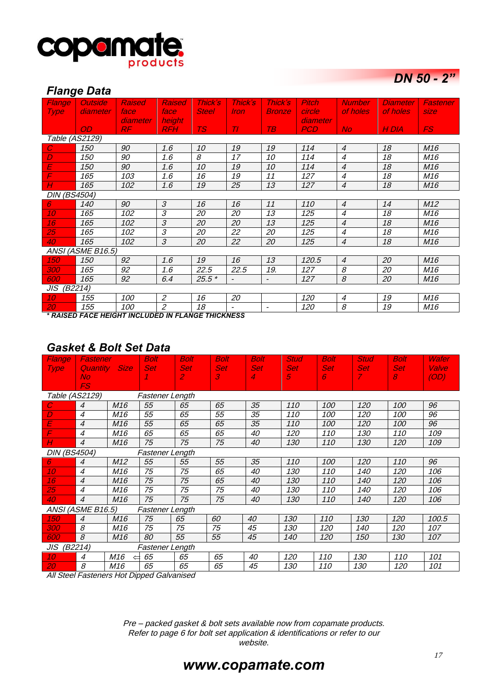

*DN 50 - 2"* 

### *Flange Data*

| Flange              | <b>Outside</b>    | <b>Raised</b> | <b>Raised</b>               | <b>Thick's</b> | Thick's                      | <b>Thick's</b>           | <b>Pitch</b> | <b>Number</b>    | <b>Diameter</b> | Fastener        |
|---------------------|-------------------|---------------|-----------------------------|----------------|------------------------------|--------------------------|--------------|------------------|-----------------|-----------------|
| <b>Type</b>         | diameter          | face          | face                        | <b>Steel</b>   | Iron.                        | <b>Bronze</b>            | circle       | of holes         | of holes        | <b>size</b>     |
|                     |                   | diameter      | height                      |                |                              |                          | diameter     |                  |                 |                 |
|                     | OD.               | RF            | <b>RFH</b>                  | TS.            | $T\Gamma$                    | TB.                      | <b>PCD</b>   | No.              | H DIA           | FS.             |
| Table (AS2129)      |                   |               |                             |                |                              |                          |              |                  |                 |                 |
| $\overline{C}$      | 150               | 90            | 1.6                         | 10             | 19                           | 19                       | 114          | $\boldsymbol{4}$ | 18              | M16             |
| D                   | 150               | 90            | 1.6                         | 8              | 17                           | 10                       | 114          | $\overline{4}$   | 18              | M16             |
| E                   | 150               | 90            | 1.6                         | 10             | 19                           | 10                       | 114          | $\overline{4}$   | 18              | M <sub>16</sub> |
| F                   | 165               | 103           | 1.6                         | 16             | 19                           | 11                       | 127          | $\overline{4}$   | 18              | M16             |
| Н                   | 165               | 102           | 1.6                         | 19             | 25                           | 13                       | 127          | $\overline{4}$   | 18              | M16             |
| <b>DIN (BS4504)</b> |                   |               |                             |                |                              |                          |              |                  |                 |                 |
| 6                   | 140               | 90            | 3                           | 16             | 16                           | 11                       | 110          | $\overline{4}$   | 14              | M12             |
| 10                  | 165               | 102           | 3                           | 20             | 20                           | 13                       | 125          | $\overline{4}$   | 18              | M16             |
| 16                  | 165               | 102           | 3                           | 20             | 20                           | 13                       | 125          | $\overline{4}$   | 18              | M16             |
| 25                  | 165               | 102           | 3                           | 20             | 22                           | 20                       | 125          | $\overline{4}$   | 18              | M16             |
| 40                  | 165               | 102           | 3                           | 20             | 22                           | 20                       | 125          | $\boldsymbol{4}$ | 18              | M <sub>16</sub> |
|                     | ANSI (ASME B16.5) |               |                             |                |                              |                          |              |                  |                 |                 |
| 150                 | 150               | 92            | 1.6                         | 19             | 16                           | 13                       | 120.5        | $\overline{4}$   | 20              | M <sub>16</sub> |
| 300                 | 165               | 92            | 1.6                         | 22.5           | 22.5                         | 19.                      | 127          | 8                | 20              | M16             |
| 600                 | 165               | 92            | 6.4                         | $25.5*$        | $\overline{\phantom{a}}$     | $\overline{\phantom{a}}$ | 127          | 8                | 20              | M <sub>16</sub> |
| JIS (B2214)         |                   |               |                             |                |                              |                          |              |                  |                 |                 |
| 10                  | 155               | 100           | $\mathfrak{p}$              | 16             | 20                           |                          | 120          | $\overline{4}$   | 19              | M <sub>16</sub> |
| 20                  | 155               | 100           | $\mathcal{Z}_{\mathcal{C}}$ | 18             | $\qquad \qquad \blacksquare$ | $\overline{\phantom{0}}$ | 120          | 8                | 19              | M16             |

*\* RAISED FACE HEIGHT INCLUDED IN FLANGE THICKNESS*

### *Gasket & Bolt Set Data*

| Flange              | Fastener              |                 | <b>Bolt</b>     | <b>Bolt</b>                 | <b>Bolt</b> | <b>Bolt</b> | <b>Stud</b> | Bolt       | <b>Stud</b>   | <b>Bolt</b> | Wafer |
|---------------------|-----------------------|-----------------|-----------------|-----------------------------|-------------|-------------|-------------|------------|---------------|-------------|-------|
| <b>Type</b>         |                       | Quantity Size   | <b>Set</b>      | <b>Set</b>                  | <b>Set</b>  | <b>Set</b>  | <b>Set</b>  | <b>Set</b> | <b>Set</b>    | <b>Set</b>  | Valve |
|                     | <b>No</b>             |                 |                 | $\mathcal{L}_{\mathcal{L}}$ | 3           | 4           | 5           | 6          | $\mathcal{T}$ | 8           | (OD)  |
|                     | FS                    |                 |                 |                             |             |             |             |            |               |             |       |
|                     | <i>Table (AS2129)</i> |                 | Fastener Length |                             |             |             |             |            |               |             |       |
| C                   | $\overline{4}$        | M <sub>16</sub> | 55              | 65                          | 65          | 35          | 110         | 100        | 120           | 100         | 96    |
| D                   | $\overline{4}$        | M16             | 55              | 65                          | 55          | 35          | 110         | 100        | 120           | 100         | 96    |
| E                   | $\overline{4}$        | M16             | 55              | 65                          | 65          | 35          | 110         | 100        | 120           | 100         | 96    |
| F                   | $\overline{4}$        | M16             | 65              | 65                          | 65          | 40          | 120         | 110        | 130           | 110         | 109   |
| Н                   | $\overline{4}$        | M <sub>16</sub> | 75              | 75                          | 75          | 40          | 130         | 110        | 130           | <i>120</i>  | 109   |
| <b>DIN (BS4504)</b> |                       |                 | Fastener Length |                             |             |             |             |            |               |             |       |
| 6.                  | $\overline{4}$        | M <sub>12</sub> | 55              | 55                          | 55          | 35          | 110         | 100        | 120           | 110         | 96    |
| 10                  | $\overline{4}$        | M16             | 75              | 75                          | 65          | 40          | 130         | 110        | 140           | 120         | 106   |
| 16                  | $\overline{4}$        | M16             | 75              | 75                          | 65          | 40          | 130         | 110        | 140           | 120         | 106   |
| 25                  | $\overline{4}$        | M16             | 75              | 75                          | 75          | 40          | 130         | 110        | 140           | 120         | 106   |
| 40                  | $\overline{4}$        | M <sub>16</sub> | 75              | 75                          | 75          | 40          | 130         | 110        | 140           | 120         | 106   |
|                     | ANSI (ASME B16.5)     |                 | Fastener Length |                             |             |             |             |            |               |             |       |
| <i>150</i>          | $\overline{4}$        | M <sub>16</sub> | 75              | 65                          | 60          | 40          | 130         | 110        | 130           | 120         | 100.5 |
| <i>300</i>          | 8                     | M16             | 75              | 75                          | 75          | 45          | 130         | 120        | 140           | 120         | 107   |
| 600                 | 8                     | M <sub>16</sub> | 80              | 55                          | 55          | 45          | 140         | 120        | 150           | 130         | 107   |
| JIS (B2214)         |                       |                 | Fastener Length |                             |             |             |             |            |               |             |       |
| 10                  | $\overline{4}$        | M16             | 65              | 65                          | 65          | 40          | 120         | 110        | 130           | 110         | 101   |
| 20                  | 8                     | M16             | 65              | 65                          | 65          | 45          | 130         | 110        | 130           | 120         | 101   |

All Steel Fasteners Hot Dipped Galvanised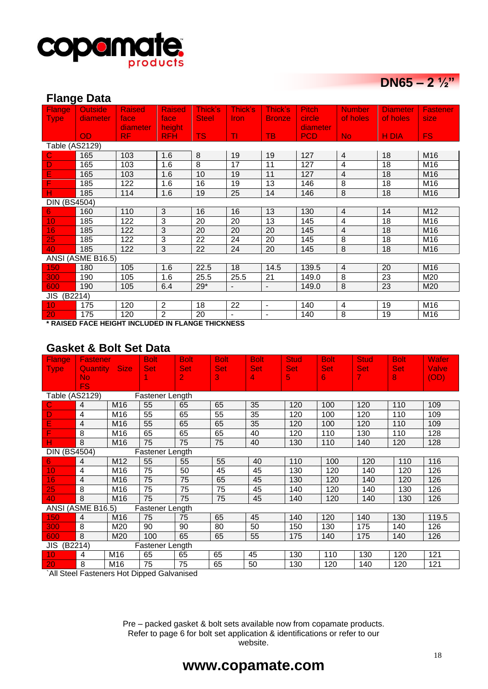

# DN65 –  $2\frac{1}{2}$

### **Flange Data**

| Flange              | <b>Outside</b>    | <b>Raised</b> | <b>Raised</b>  | Thick's         | Thick's        | Thick's                  | <b>Pitch</b>  | <b>Number</b>  | <b>Diameter</b> | <b>Fastener</b> |
|---------------------|-------------------|---------------|----------------|-----------------|----------------|--------------------------|---------------|----------------|-----------------|-----------------|
| Type <sub></sub>    | diameter          | face          | face           | <b>Steel</b>    | <b>Iron</b>    | <b>Bronze</b>            | <b>circle</b> | of holes       | of holes        | size            |
|                     |                   | diameter      | height         |                 |                |                          | diameter      |                |                 |                 |
|                     | <b>OD</b>         | RF.           | <b>RFH</b>     | <b>TS</b>       | TI.            | <b>TB</b>                | <b>PCD</b>    | No.            | H DIA           | FS.             |
| Table (AS2129)      |                   |               |                |                 |                |                          |               |                |                 |                 |
| C                   | 165               | 103           | 1.6            | 8               | 19             | 19                       | 127           | $\overline{4}$ | 18              | M16             |
| D                   | 165               | 103           | 1.6            | $\overline{8}$  | 17             | 11                       | 127           | 4              | 18              | M16             |
| E                   | 165               | 103           | 1.6            | 10              | 19             | 11                       | 127           | $\overline{4}$ | 18              | M16             |
| F                   | 185               | 122           | 1.6            | 16              | 19             | 13                       | 146           | 8              | 18              | M16             |
| н                   | 185               | 114           | 1.6            | 19              | 25             | 14                       | 146           | 8              | 18              | M16             |
| <b>DIN (BS4504)</b> |                   |               |                |                 |                |                          |               |                |                 |                 |
| 6.                  | 160               | 110           | 3              | 16              | 16             | 13                       | 130           | $\overline{4}$ | 14              | M12             |
| 10                  | 185               | 122           | 3              | 20              | 20             | 13                       | 145           | 4              | 18              | M16             |
| 16                  | 185               | 122           | 3              | 20              | 20             | 20                       | 145           | $\overline{4}$ | 18              | M16             |
| 25                  | 185               | 122           | 3              | $\overline{22}$ | 24             | 20                       | 145           | $\overline{8}$ | $\overline{18}$ | M16             |
| 40                  | 185               | 122           | 3              | 22              | 24             | 20                       | 145           | 8              | 18              | M16             |
|                     | ANSI (ASME B16.5) |               |                |                 |                |                          |               |                |                 |                 |
| 150                 | 180               | 105           | 1.6            | 22.5            | 18             | 14.5                     | 139.5         | $\overline{4}$ | 20              | M16             |
| 300                 | 190               | 105           | 1.6            | 25.5            | 25.5           | 21                       | 149.0         | 8              | 23              | M20             |
| 600                 | 190               | 105           | 6.4            | $29*$           |                | $\blacksquare$           | 149.0         | 8              | 23              | M <sub>20</sub> |
| JIS (B2214)         |                   |               |                |                 |                |                          |               |                |                 |                 |
| 10                  | 175               | 120           | $\overline{2}$ | 18              | 22             | $\overline{\phantom{a}}$ | 140           | 4              | 19              | M16             |
| 20                  | 175               | 120           | $\overline{2}$ | 20              | $\blacksquare$ | $\overline{a}$           | 140           | 8              | 19              | M16             |

**\* RAISED FACE HEIGHT INCLUDED IN FLANGE THICKNESS**

### **Gasket & Bolt Set Data**

| <b>Flange</b>       | <b>Fastener</b>      |                 | <b>Bolt</b>     | <b>Bolt</b> | <b>Bolt</b> | <b>Bolt</b> | <b>Stud</b> | <b>Bolt</b> | <b>Stud</b> | <b>Bolt</b> | Wafer |
|---------------------|----------------------|-----------------|-----------------|-------------|-------------|-------------|-------------|-------------|-------------|-------------|-------|
| <b>Type</b>         | <b>Quantity Size</b> |                 | <b>Set</b>      | <b>Set</b>  | <b>Set</b>  | <b>Set</b>  | <b>Set</b>  | <b>Set</b>  | <b>Set</b>  | Set,        | Valve |
|                     | N <sub>o</sub>       |                 |                 | 2           | 3           | 4           | 5           | 6           | 7.          | 8           | (OD)  |
|                     | <b>FS</b>            |                 |                 |             |             |             |             |             |             |             |       |
| Table (AS2129)      |                      |                 | Fastener Length |             |             |             |             |             |             |             |       |
| C                   | $\overline{4}$       | M <sub>16</sub> | 55              | 65          | 65          | 35          | 120         | 100         | 120         | 110         | 109   |
| D                   | 4                    | M16             | 55              | 65          | 55          | 35          | 120         | 100         | 120         | 110         | 109   |
| E                   | $\overline{4}$       | M16             | 55              | 65          | 65          | 35          | 120         | 100         | 120         | 110         | 109   |
|                     | 8                    | M16             | 65              | 65          | 65          | 40          | 120         | 110         | 130         | 110         | 128   |
| н                   | 8                    | M16             | 75              | 75          | 75          | 40          | 130         | 110         | 140         | 120         | 128   |
| <b>DIN (BS4504)</b> |                      |                 | Fastener Length |             |             |             |             |             |             |             |       |
| 6.                  | $\overline{4}$       | M12             | 55              | 55          | 55          | 40          | 110         | 100         | 120         | 110         | 116   |
| 10                  | $\overline{4}$       | M16             | 75              | 50          | 45          | 45          | 130         | 120         | 140         | 120         | 126   |
| 16                  | $\overline{4}$       | M16             | 75              | 75          | 65          | 45          | 130         | 120         | 140         | 120         | 126   |
| 25                  | 8                    | M16             | 75              | 75          | 75          | 45          | 140         | 120         | 140         | 130         | 126   |
| 40                  | 8                    | M16             | 75              | 75          | 75          | 45          | 140         | 120         | 140         | 130         | 126   |
|                     | ANSI (ASME B16.5)    |                 | Fastener Length |             |             |             |             |             |             |             |       |
| 150                 | $\overline{4}$       | M <sub>16</sub> | 75              | 75          | 65          | 45          | 140         | 120         | 140         | 130         | 119.5 |
| 300                 | 8                    | M20             | 90              | 90          | 80          | 50          | 150         | 130         | 175         | 140         | 126   |
| 600                 | 8                    | M <sub>20</sub> | 100             | 65          | 65          | 55          | 175         | 140         | 175         | 140         | 126   |
| JIS<br>(B2214)      |                      |                 | Fastener Length |             |             |             |             |             |             |             |       |
| 10                  | $\overline{4}$       | M16             | 65              | 65          | 65          | 45          | 130         | 110         | 130         | 120         | 121   |
| 20                  | 8                    | M16             | 75              | 75          | 65          | 50          | 130         | 120         | 140         | 120         | 121   |

`All Steel Fasteners Hot Dipped Galvanised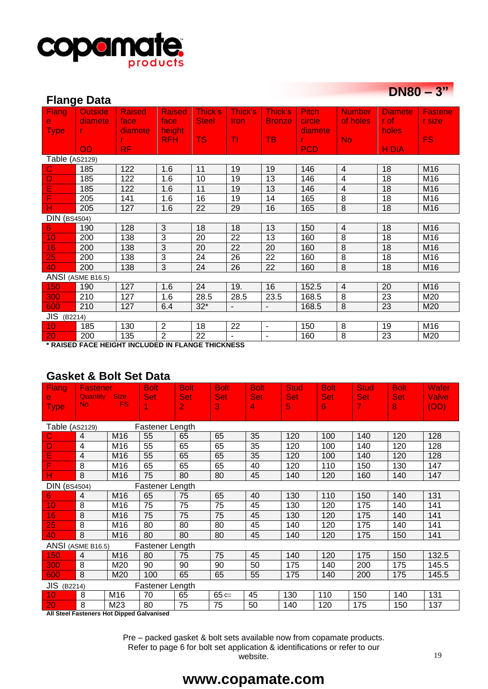

| $DN80 - 3"$ |  |
|-------------|--|
|-------------|--|

| $U\cdot UU = U$<br><b>Flange Data</b> |                                                   |               |                |              |                          |                |              |                          |                |                |  |  |
|---------------------------------------|---------------------------------------------------|---------------|----------------|--------------|--------------------------|----------------|--------------|--------------------------|----------------|----------------|--|--|
| <b>Flang</b>                          | <b>Outside</b>                                    | <b>Raised</b> | <b>Raised</b>  | Thick's      | Thick's                  | Thick's        | <b>Pitch</b> | <b>Number</b>            | <b>Diamete</b> | <b>Fastene</b> |  |  |
| $\mathbf{e}$                          | diamete                                           | face          | face           | <b>Steel</b> | Iron                     | <b>Bronze</b>  | circle       | of holes                 | r of           | r size         |  |  |
| <b>Type</b>                           |                                                   | diamete       | height         |              |                          |                | diamete      |                          | holes          |                |  |  |
|                                       |                                                   | r.            | <b>RFH</b>     | <b>TS</b>    | TI                       | <b>TB</b>      |              | <b>No</b>                |                | <b>FS</b>      |  |  |
|                                       | OD                                                | <b>RF</b>     |                |              |                          |                | <b>PCD</b>   |                          | <b>HDIA</b>    |                |  |  |
| Table (AS2129)                        |                                                   |               |                |              |                          |                |              |                          |                |                |  |  |
| C                                     | 185                                               | 122           | 1.6            | 11           | 19                       | 19             | 146          | 4                        | 18             | M16            |  |  |
| D                                     | 185                                               | 122           | 1.6            | 10           | 19                       | 13             | 146          | 4                        | 18             | M16            |  |  |
| Ε                                     | 185                                               | 122           | 1.6            | 11           | 19                       | 13             | 146          | $\overline{\mathcal{L}}$ | 18             | M16            |  |  |
| F                                     | 205                                               | 141           | 1.6            | 16           | 19                       | 14             | 165          | $\overline{8}$           | 18             | M16            |  |  |
| н                                     | 205                                               | 127           | 1.6            | 22           | 29                       | 16             | 165          | $\overline{8}$           | 18             | M16            |  |  |
| <b>DIN</b> (BS4504)                   |                                                   |               |                |              |                          |                |              |                          |                |                |  |  |
| 6                                     | 190                                               | 128           | 3              | 18           | 18                       | 13             | 150          | $\overline{4}$           | 18             | M16            |  |  |
| 10                                    | 200                                               | 138           | 3              | 20           | 22                       | 13             | 160          | 8                        | 18             | M16            |  |  |
| 16                                    | 200                                               | 138           | 3              | 20           | 22                       | 20             | 160          | 8                        | 18             | M16            |  |  |
| 25                                    | 200                                               | 138           | 3              | 24           | 26                       | 22             | 160          | 8                        | 18             | M16            |  |  |
| 40                                    | 200                                               | 138           | 3              | 24           | 26                       | 22             | 160          | $\,8\,$                  | 18             | M16            |  |  |
|                                       | ANSI (ASME B16.5)                                 |               |                |              |                          |                |              |                          |                |                |  |  |
| 150                                   | 190                                               | 127           | 1.6            | 24           | 19.                      | 16             | 152.5        | $\overline{4}$           | 20             | M16            |  |  |
| 300                                   | 210                                               | 127           | 1.6            | 28.5         | 28.5                     | 23.5           | 168.5        | 8                        | 23             | M20            |  |  |
| 600                                   | 210                                               | 127           | 6.4            | $32*$        | $\overline{\phantom{a}}$ | $\blacksquare$ | 168.5        | 8                        | 23             | M20            |  |  |
| JIS (B2214)                           |                                                   |               |                |              |                          |                |              |                          |                |                |  |  |
| 10                                    | 185                                               | 130           | $\overline{2}$ | 18           | 22                       | $\blacksquare$ | 150          | 8                        | 19             | M16            |  |  |
| 20                                    | 200                                               | 135           | $\overline{2}$ | 22           |                          | $\blacksquare$ | 160          | 8                        | 23             | M20            |  |  |
|                                       | * RAISED FACE HEIGHT INCLUDED IN ELANGE THICKNESS |               |                |              |                          |                |              |                          |                |                |  |  |

**\* RAISED FACE HEIGHT INCLUDED IN FLANGE THICKNESS**

## **Gasket & Bolt Set Data**

| <b>Flang</b>        | <b>Fastener</b>   |                 | <b>Bolt</b>     | <b>Bolt</b>    | <b>Bolt</b>     | <b>Bolt</b> | <b>Stud</b> | <b>Bolt</b> | <b>Stud</b> | <b>Bolt</b> | Wafer |
|---------------------|-------------------|-----------------|-----------------|----------------|-----------------|-------------|-------------|-------------|-------------|-------------|-------|
| e                   | <b>Quantity</b>   | <b>Size</b>     | <b>Set</b>      | <b>Set</b>     | <b>Set</b>      | <b>Set</b>  | <b>Set</b>  | <b>Set</b>  | <b>Set</b>  | <b>Set</b>  | Valve |
| <b>Type</b>         | No.               | <b>FS</b>       | 1               | $\overline{2}$ | 3               | 4           | 5           | 6           | 7           | 8           | (OD)  |
|                     |                   |                 |                 |                |                 |             |             |             |             |             |       |
| Table (AS2129)      |                   |                 | Fastener Length |                |                 |             |             |             |             |             |       |
| C                   | $\overline{4}$    | M16             | 55              | 65             | 65              | 35          | 120         | 100         | 140         | 120         | 128   |
| D                   | $\overline{4}$    | M16             | 55              | 65             | 65              | 35          | 120         | 100         | 140         | 120         | 128   |
| E                   | $\overline{4}$    | M16             | 55              | 65             | 65              | 35          | 120         | 100         | 140         | 120         | 128   |
| F                   | 8                 | M16             | 65              | 65             | 65              | 40          | 120         | 110         | 150         | 130         | 147   |
| н                   | 8                 | M <sub>16</sub> | 75              | 80             | 80              | 45          | 140         | 120         | 160         | 140         | 147   |
| <b>DIN (BS4504)</b> |                   |                 | Fastener Length |                |                 |             |             |             |             |             |       |
| 6                   | 4                 | M <sub>16</sub> | 65              | 75             | 65              | 40          | 130         | 110         | 150         | 140         | 131   |
| 10                  | 8                 | M16             | 75              | 75             | 75              | 45          | 130         | 120         | 175         | 140         | 141   |
| 16                  | 8                 | M16             | 75              | 75             | 75              | 45          | 130         | 120         | 175         | 140         | 141   |
| 25                  | 8                 | M16             | 80              | 80             | 80              | 45          | 140         | 120         | 175         | 140         | 141   |
| 40                  | 8                 | M16             | 80              | 80             | 80              | 45          | 140         | 120         | 175         | 150         | 141   |
|                     | ANSI (ASME B16.5) |                 | Fastener Length |                |                 |             |             |             |             |             |       |
| 150                 | $\overline{4}$    | M <sub>16</sub> | 80              | 75             | 75              | 45          | 140         | 120         | 175         | 150         | 132.5 |
| 300                 | 8                 | M20             | 90              | 90             | 90              | 50          | 175         | 140         | 200         | 175         | 145.5 |
| 600                 | 8                 | M20             | 100             | 65             | 65              | 55          | 175         | 140         | 200         | 175         | 145.5 |
| <b>JIS</b> (B2214)  |                   |                 | Fastener Length |                |                 |             |             |             |             |             |       |
| 10                  | 8                 | M <sub>16</sub> | 70              | 65             | $65 \leftarrow$ | 45          | 130         | 110         | 150         | 140         | 131   |
| 20                  | 8                 | M23             | 80              | 75             | 75              | 50          | 140         | 120         | 175         | 150         | 137   |

**All Steel Fasteners Hot Dipped Galvanised**